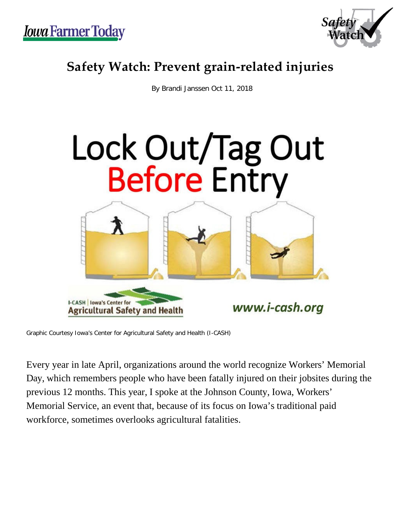

## **Safety Watch: Prevent grain-related injuries**

By Brandi Janssen Oct 11, 2018



Graphic Courtesy Iowa's Center for Agricultural Safety and Health (I-CASH)

Every year in late April, organizations around the world recognize Workers' Memorial Day, which remembers people who have been fatally injured on their jobsites during the previous 12 months. This year, I spoke at the Johnson County, Iowa, Workers' Memorial Service, an event that, because of its focus on Iowa's traditional paid workforce, sometimes overlooks agricultural fatalities.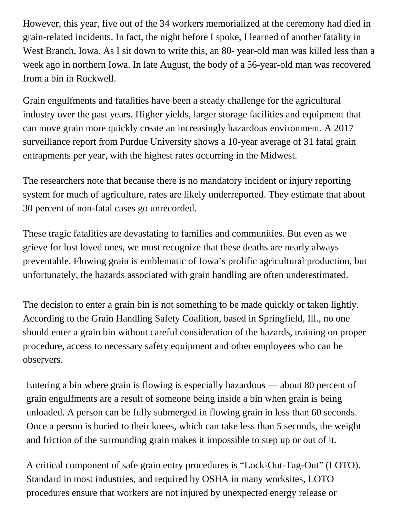However, this year, five out of the 34 workers memorialized at the ceremony had died in grain-related incidents. In fact, the night before I spoke, I learned of another fatality in West Branch, Iowa. As I sit down to write this, an 80- year-old man was killed less than a week ago in northern Iowa. In late August, the body of a 56-year-old man was recovered from a bin in Rockwell.

Grain engulfments and fatalities have been a steady challenge for the agricultural industry over the past years. Higher yields, larger storage facilities and equipment that can move grain more quickly create an increasingly hazardous environment. A 2017 surveillance report from Purdue University shows a 10-year average of 31 fatal grain entrapments per year, with the highest rates occurring in the Midwest.

The researchers note that because there is no mandatory incident or injury reporting system for much of agriculture, rates are likely underreported. They estimate that about 30 percent of non-fatal cases go unrecorded.

These tragic fatalities are devastating to families and communities. But even as we grieve for lost loved ones, we must recognize that these deaths are nearly always preventable. Flowing grain is emblematic of Iowa's prolific agricultural production, but unfortunately, the hazards associated with grain handling are often underestimated.

The decision to enter a grain bin is not something to be made quickly or taken lightly. According to the Grain Handling Safety Coalition, based in Springfield, Ill., no one should enter a grain bin without careful consideration of the hazards, training on proper procedure, access to necessary safety equipment and other employees who can be observers.

Entering a bin where grain is flowing is especially hazardous — about 80 percent of grain engulfments are a result of someone being inside a bin when grain is being unloaded. A person can be fully submerged in flowing grain in less than 60 seconds. Once a person is buried to their knees, which can take less than 5 seconds, the weight and friction of the surrounding grain makes it impossible to step up or out of it.

A critical component of safe grain entry procedures is "Lock-Out-Tag-Out" (LOTO). Standard in most industries, and required by OSHA in many worksites, LOTO procedures ensure that workers are not injured by unexpected energy release or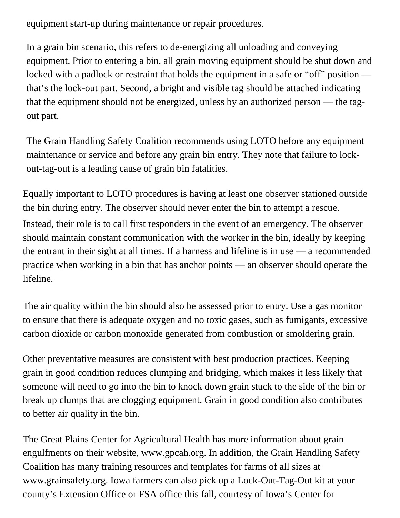equipment start-up during maintenance or repair procedures.

In a grain bin scenario, this refers to de-energizing all unloading and conveying equipment. Prior to entering a bin, all grain moving equipment should be shut down and locked with a padlock or restraint that holds the equipment in a safe or "off" position that's the lock-out part. Second, a bright and visible tag should be attached indicating that the equipment should not be energized, unless by an authorized person — the tagout part.

The Grain Handling Safety Coalition recommends using LOTO before any equipment maintenance or service and before any grain bin entry. They note that failure to lockout-tag-out is a leading cause of grain bin fatalities.

Equally important to LOTO procedures is having at least one observer stationed outside the bin during entry. The observer should never enter the bin to attempt a rescue. Instead, their role is to call first responders in the event of an emergency. The observer should maintain constant communication with the worker in the bin, ideally by keeping the entrant in their sight at all times. If a harness and lifeline is in use — a recommended practice when working in a bin that has anchor points — an observer should operate the lifeline.

The air quality within the bin should also be assessed prior to entry. Use a gas monitor to ensure that there is adequate oxygen and no toxic gases, such as fumigants, excessive carbon dioxide or carbon monoxide generated from combustion or smoldering grain.

Other preventative measures are consistent with best production practices. Keeping grain in good condition reduces clumping and bridging, which makes it less likely that someone will need to go into the bin to knock down grain stuck to the side of the bin or break up clumps that are clogging equipment. Grain in good condition also contributes to better air quality in the bin.

The Great Plains Center for Agricultural Health has more information about grain engulfments on their website, [www.gpcah.org](http://www.gpcah.org/). In addition, the Grain Handling Safety Coalition has many training resources and templates for farms of all sizes at [www.grainsafety.org](http://www.grainsafety.org/). Iowa farmers can also pick up a Lock-Out-Tag-Out kit at your county's Extension Office or FSA office this fall, courtesy of Iowa's Center for